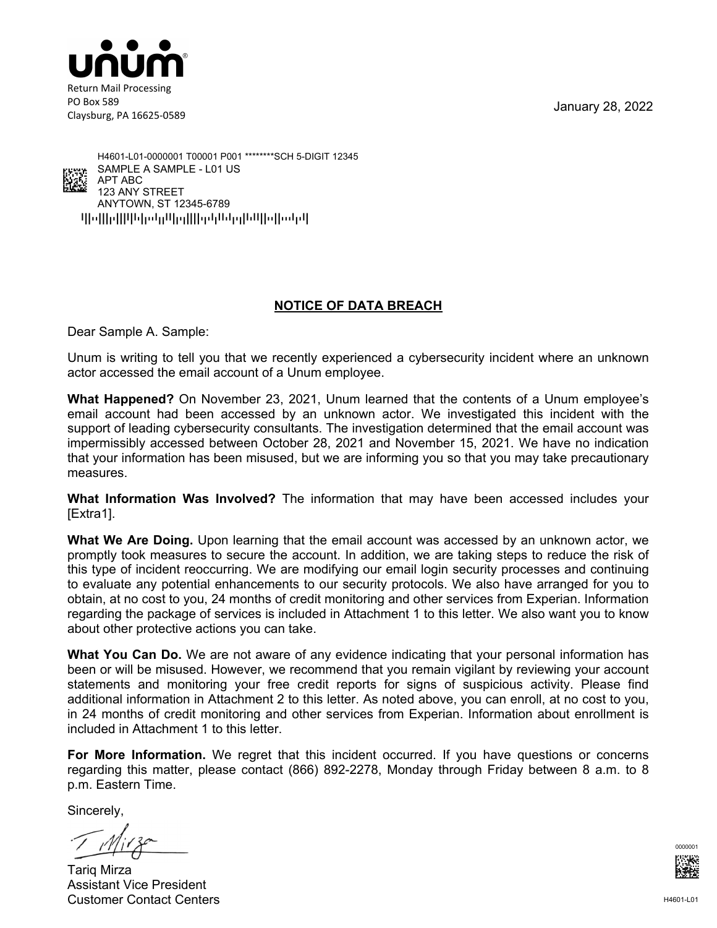January 28, 2022



Claysburg, PA 16625-0589



qpoppqppppopppppppppppppppppppppppp ANYTOWN, ST 12345-6789 123 ANY STREET APT ABC SAMPLE A SAMPLE - L01 US H4601-L01-0000001 T00001 P001 \*\*\*\*\*\*\*\*SCH 5-DIGIT 12345

#### **NOTICE OF DATA BREACH**

Dear Sample A. Sample:

Unum is writing to tell you that we recently experienced a cybersecurity incident where an unknown actor accessed the email account of a Unum employee.

**What Happened?** On November 23, 2021, Unum learned that the contents of a Unum employee's email account had been accessed by an unknown actor. We investigated this incident with the support of leading cybersecurity consultants. The investigation determined that the email account was impermissibly accessed between October 28, 2021 and November 15, 2021. We have no indication that your information has been misused, but we are informing you so that you may take precautionary measures.

**What Information Was Involved?** The information that may have been accessed includes your [Extra1].

**What We Are Doing.** Upon learning that the email account was accessed by an unknown actor, we promptly took measures to secure the account. In addition, we are taking steps to reduce the risk of this type of incident reoccurring. We are modifying our email login security processes and continuing to evaluate any potential enhancements to our security protocols. We also have arranged for you to obtain, at no cost to you, 24 months of credit monitoring and other services from Experian. Information regarding the package of services is included in Attachment 1 to this letter. We also want you to know about other protective actions you can take.

**What You Can Do.** We are not aware of any evidence indicating that your personal information has been or will be misused. However, we recommend that you remain vigilant by reviewing your account statements and monitoring your free credit reports for signs of suspicious activity. Please find additional information in Attachment 2 to this letter. As noted above, you can enroll, at no cost to you, in 24 months of credit monitoring and other services from Experian. Information about enrollment is included in Attachment 1 to this letter.

**For More Information.** We regret that this incident occurred. If you have questions or concerns regarding this matter, please contact (866) 892-2278, Monday through Friday between 8 a.m. to 8 p.m. Eastern Time.

Sincerely,

Tariq Mirza Assistant Vice President Customer Contact Centers

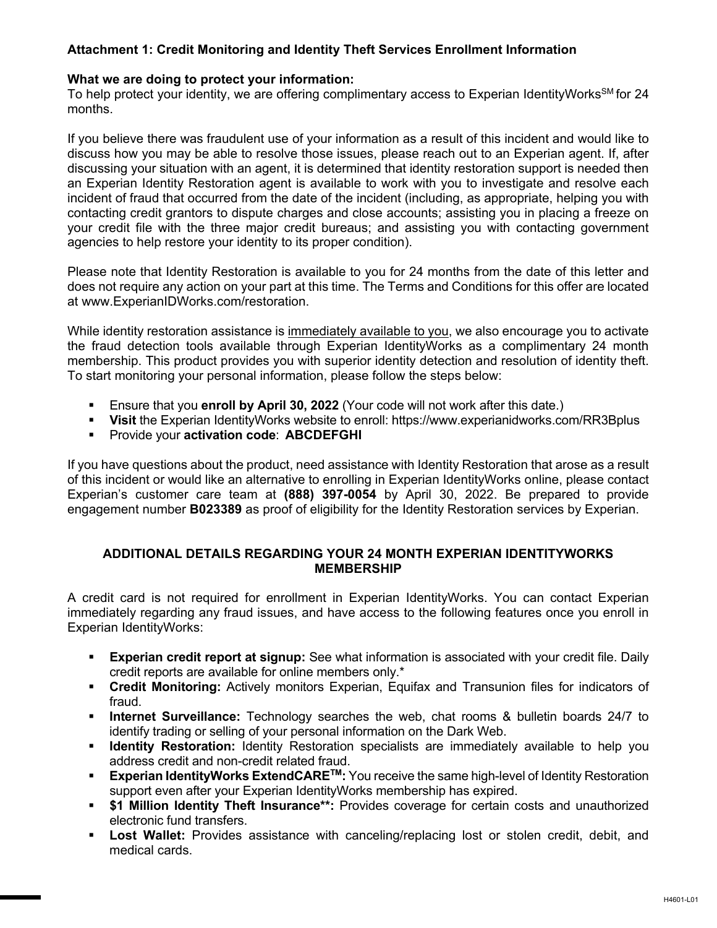#### **Attachment 1: Credit Monitoring and Identity Theft Services Enrollment Information**

#### **What we are doing to protect your information:**

To help protect your identity, we are offering complimentary access to Experian IdentityWorks<sup>SM</sup> for 24 months.

If you believe there was fraudulent use of your information as a result of this incident and would like to discuss how you may be able to resolve those issues, please reach out to an Experian agent. If, after discussing your situation with an agent, it is determined that identity restoration support is needed then an Experian Identity Restoration agent is available to work with you to investigate and resolve each incident of fraud that occurred from the date of the incident (including, as appropriate, helping you with contacting credit grantors to dispute charges and close accounts; assisting you in placing a freeze on your credit file with the three major credit bureaus; and assisting you with contacting government agencies to help restore your identity to its proper condition).

Please note that Identity Restoration is available to you for 24 months from the date of this letter and does not require any action on your part at this time. The Terms and Conditions for this offer are located at www.ExperianIDWorks.com/restoration.

While identity restoration assistance is immediately available to you, we also encourage you to activate the fraud detection tools available through Experian IdentityWorks as a complimentary 24 month membership. This product provides you with superior identity detection and resolution of identity theft. To start monitoring your personal information, please follow the steps below:

- Ensure that you **enroll by April 30, 2022** (Your code will not work after this date.)
- **Visit** the Experian IdentityWorks website to enroll: https://www.experianidworks.com/RR3Bplus
- **Provide your activation code: ABCDEFGHI**

If you have questions about the product, need assistance with Identity Restoration that arose as a result of this incident or would like an alternative to enrolling in Experian IdentityWorks online, please contact Experian's customer care team at **(888) 397-0054** by April 30, 2022. Be prepared to provide engagement number **B023389** as proof of eligibility for the Identity Restoration services by Experian.

#### **ADDITIONAL DETAILS REGARDING YOUR 24 MONTH EXPERIAN IDENTITYWORKS MEMBERSHIP**

A credit card is not required for enrollment in Experian IdentityWorks. You can contact Experian immediately regarding any fraud issues, and have access to the following features once you enroll in Experian IdentityWorks:

- **Experian credit report at signup:** See what information is associated with your credit file. Daily credit reports are available for online members only.\*
- **Credit Monitoring:** Actively monitors Experian, Equifax and Transunion files for indicators of fraud.
- **Internet Surveillance:** Technology searches the web, chat rooms & bulletin boards 24/7 to identify trading or selling of your personal information on the Dark Web.
- **If Identity Restoration:** Identity Restoration specialists are immediately available to help you address credit and non-credit related fraud.
- **Experian IdentityWorks ExtendCARE<sup>™</sup>:** You receive the same high-level of Identity Restoration support even after your Experian IdentityWorks membership has expired.
- **\$1 Million Identity Theft Insurance\*\*:** Provides coverage for certain costs and unauthorized electronic fund transfers.
- **Lost Wallet:** Provides assistance with canceling/replacing lost or stolen credit, debit, and medical cards.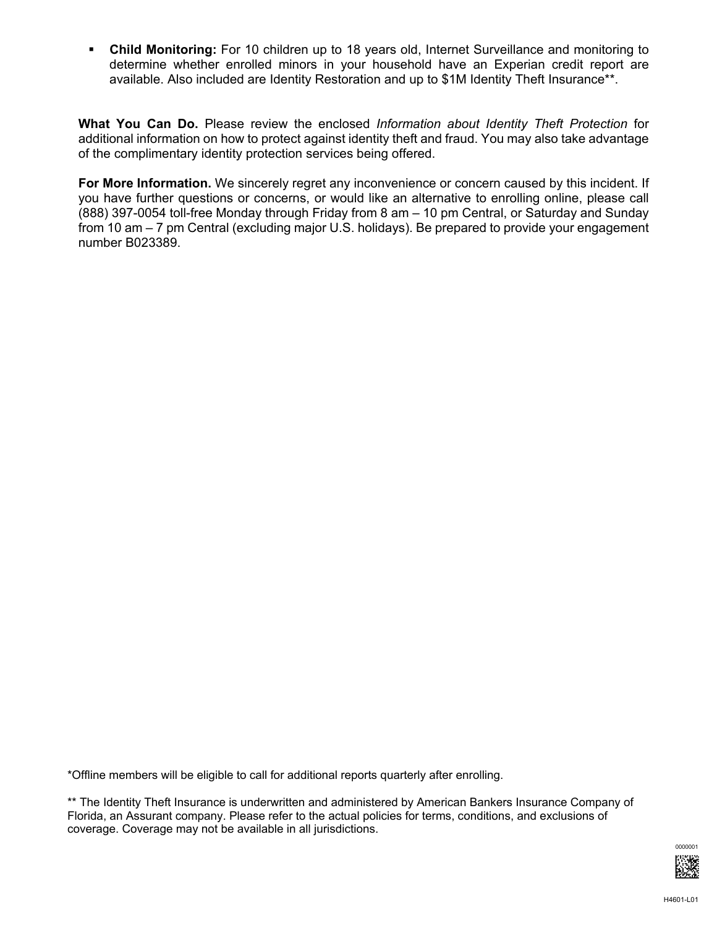**Child Monitoring:** For 10 children up to 18 years old, Internet Surveillance and monitoring to determine whether enrolled minors in your household have an Experian credit report are available. Also included are Identity Restoration and up to \$1M Identity Theft Insurance\*\*.

**What You Can Do.** Please review the enclosed *Information about Identity Theft Protection* for additional information on how to protect against identity theft and fraud. You may also take advantage of the complimentary identity protection services being offered.

**For More Information.** We sincerely regret any inconvenience or concern caused by this incident. If you have further questions or concerns, or would like an alternative to enrolling online, please call (888) 397-0054 toll-free Monday through Friday from 8 am – 10 pm Central, or Saturday and Sunday from 10 am – 7 pm Central (excluding major U.S. holidays). Be prepared to provide your engagement number B023389.

\*Offline members will be eligible to call for additional reports quarterly after enrolling.

\*\* The Identity Theft Insurance is underwritten and administered by American Bankers Insurance Company of Florida, an Assurant company. Please refer to the actual policies for terms, conditions, and exclusions of coverage. Coverage may not be available in all jurisdictions.

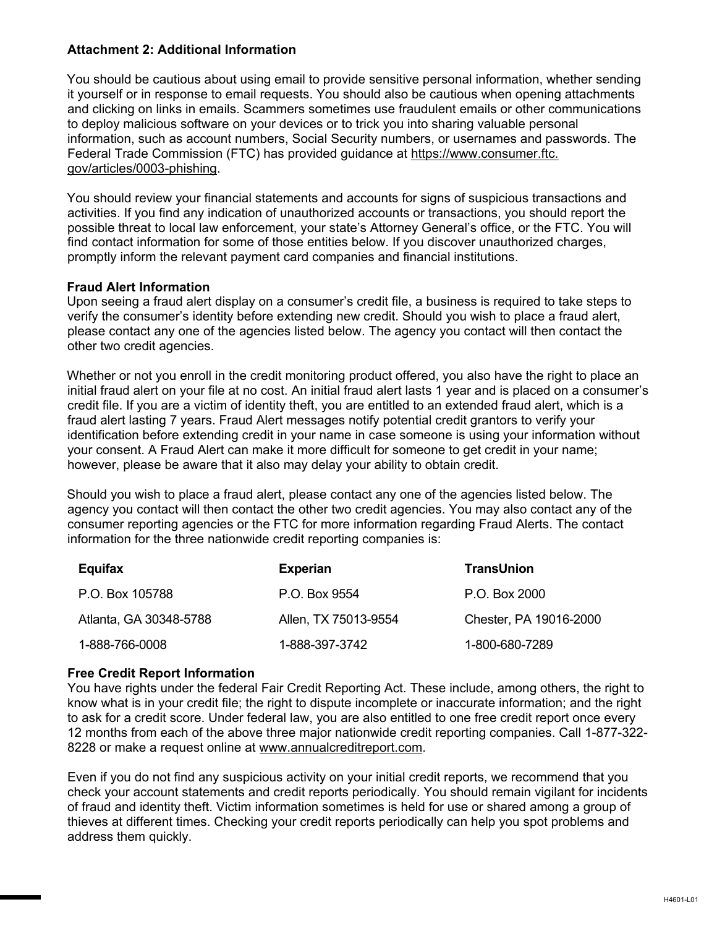#### **Attachment 2: Additional Information**

You should be cautious about using email to provide sensitive personal information, whether sending it yourself or in response to email requests. You should also be cautious when opening attachments and clicking on links in emails. Scammers sometimes use fraudulent emails or other communications to deploy malicious software on your devices or to trick you into sharing valuable personal information, such as account numbers, Social Security numbers, or usernames and passwords. The Federal Trade Commission (FTC) has provided guidance at https://www.consumer.ftc. gov/articles/0003-phishing.

You should review your financial statements and accounts for signs of suspicious transactions and activities. If you find any indication of unauthorized accounts or transactions, you should report the possible threat to local law enforcement, your state's Attorney General's office, or the FTC. You will find contact information for some of those entities below. If you discover unauthorized charges, promptly inform the relevant payment card companies and financial institutions.

#### **Fraud Alert Information**

Upon seeing a fraud alert display on a consumer's credit file, a business is required to take steps to verify the consumer's identity before extending new credit. Should you wish to place a fraud alert, please contact any one of the agencies listed below. The agency you contact will then contact the other two credit agencies.

Whether or not you enroll in the credit monitoring product offered, you also have the right to place an initial fraud alert on your file at no cost. An initial fraud alert lasts 1 year and is placed on a consumer's credit file. If you are a victim of identity theft, you are entitled to an extended fraud alert, which is a fraud alert lasting 7 years. Fraud Alert messages notify potential credit grantors to verify your identification before extending credit in your name in case someone is using your information without your consent. A Fraud Alert can make it more difficult for someone to get credit in your name; however, please be aware that it also may delay your ability to obtain credit.

Should you wish to place a fraud alert, please contact any one of the agencies listed below. The agency you contact will then contact the other two credit agencies. You may also contact any of the consumer reporting agencies or the FTC for more information regarding Fraud Alerts. The contact information for the three nationwide credit reporting companies is:

| Equifax                | <b>Experian</b>      | <b>TransUnion</b>      |
|------------------------|----------------------|------------------------|
| P.O. Box 105788        | P.O. Box 9554        | P.O. Box 2000          |
| Atlanta, GA 30348-5788 | Allen, TX 75013-9554 | Chester, PA 19016-2000 |
| 1-888-766-0008         | 1-888-397-3742       | 1-800-680-7289         |

#### **Free Credit Report Information**

You have rights under the federal Fair Credit Reporting Act. These include, among others, the right to know what is in your credit file; the right to dispute incomplete or inaccurate information; and the right to ask for a credit score. Under federal law, you are also entitled to one free credit report once every 12 months from each of the above three major nationwide credit reporting companies. Call 1-877-322- 8228 or make a request online at www.annualcreditreport.com.

Even if you do not find any suspicious activity on your initial credit reports, we recommend that you check your account statements and credit reports periodically. You should remain vigilant for incidents of fraud and identity theft. Victim information sometimes is held for use or shared among a group of thieves at different times. Checking your credit reports periodically can help you spot problems and address them quickly.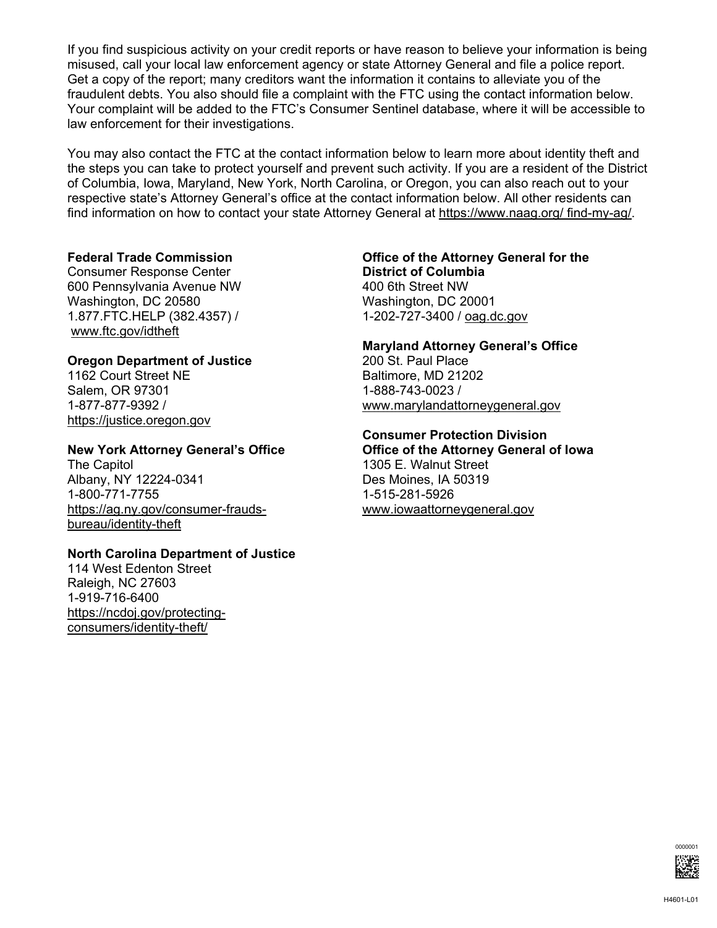If you find suspicious activity on your credit reports or have reason to believe your information is being misused, call your local law enforcement agency or state Attorney General and file a police report. Get a copy of the report; many creditors want the information it contains to alleviate you of the fraudulent debts. You also should file a complaint with the FTC using the contact information below. Your complaint will be added to the FTC's Consumer Sentinel database, where it will be accessible to law enforcement for their investigations.

You may also contact the FTC at the contact information below to learn more about identity theft and the steps you can take to protect yourself and prevent such activity. If you are a resident of the District of Columbia, Iowa, Maryland, New York, North Carolina, or Oregon, you can also reach out to your respective state's Attorney General's office at the contact information below. All other residents can find information on how to contact your state Attorney General at https://www.naag.org/ find-my-ag/.

Consumer Response Center **District of Columbia** 600 Pennsylvania Avenue NW 400 6th Street NW Washington, DC 20580 Washington, DC 20001 1.877.FTC.HELP (382.4357) / 1-202-727-3400 / oag.dc.gov www.ftc.gov/idtheft

#### **Oregon Department of Justice**

1162 Court Street NE Baltimore, MD 21202 Salem, OR 97301 1-888-743-0023 / https://justice.oregon.gov

#### **New York Attorney General's Office Office of the Attorney General of Iowa**

The Capitol **1305 E. Walnut Street** Albany, NY 12224-0341 Des Moines, IA 50319 1-800-771-7755<br>https://ag.ny.gov/consumer-frauds- www.iowaattorneygeneral.gov https://ag.ny.gov/consumer-fraudsbureau/identity-theft

#### **North Carolina Department of Justice**

114 West Edenton Street Raleigh, NC 27603 1-919-716-6400 https://ncdoj.gov/protectingconsumers/identity-theft/

# **Federal Trade Commission Office of the Attorney General for the**

## **Maryland Attorney General's Office**

1-877-877-9392 / www.marylandattorneygeneral.gov

### **Consumer Protection Division**